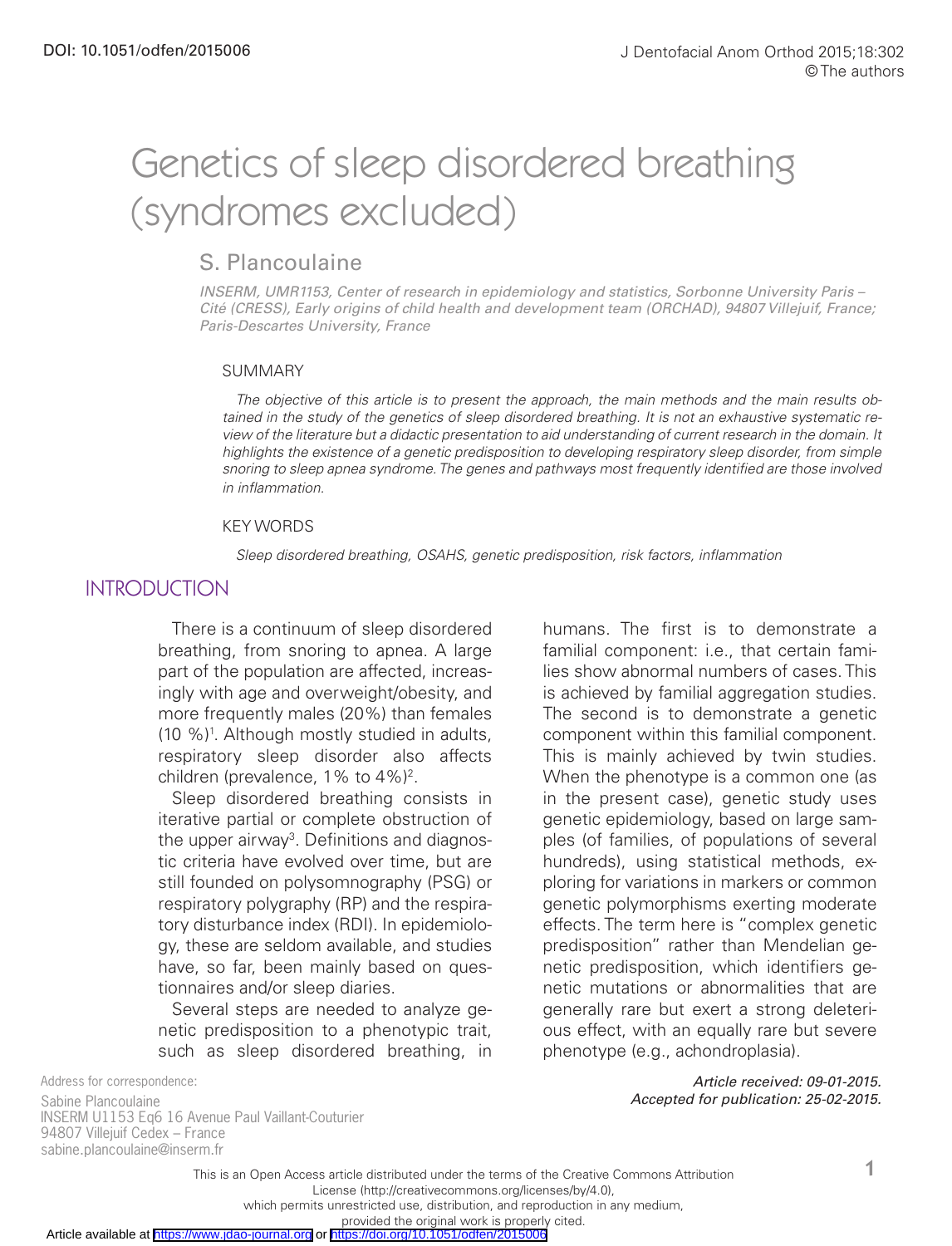# Genetics of sleep disordered breathing (syndromes excluded)

# S. Plancoulaine

*INSERM, UMR1153, Center of research in epidemiology and statistics, Sorbonne University Paris – Cité (CRESS), Early origins of child health and development team (ORCHAD), 94807 Villejuif, France; Paris-Descartes University, France*

#### **SUMMARY**

*The objective of this article is to present the approach, the main methods and the main results obtained in the study of the genetics of sleep disordered breathing. It is not an exhaustive systematic review of the literature but a didactic presentation to aid understanding of current research in the domain. It highlights the existence of a genetic predisposition to developing respiratory sleep disorder, from simple snoring to sleep apnea syndrome. The genes and pathways most frequently identified are those involved in inflammation.*

#### KEY WORDS

*Sleep disordered breathing, OSAHS, genetic predisposition, risk factors, inflammation*

#### **INTRODUCTION**

There is a continuum of sleep disordered breathing, from snoring to apnea. A large part of the population are affected, increasingly with age and overweight/obesity, and more frequently males (20%) than females (10 %)1 . Although mostly studied in adults, respiratory sleep disorder also affects children (prevalence, 1% to 4%)<sup>2</sup>.

Sleep disordered breathing consists in iterative partial or complete obstruction of the upper airway<sup>3</sup>. Definitions and diagnostic criteria have evolved over time, but are still founded on polysomnography (PSG) or respiratory polygraphy (RP) and the respiratory disturbance index (RDI). In epidemiology, these are seldom available, and studies have, so far, been mainly based on questionnaires and/or sleep diaries.

Several steps are needed to analyze genetic predisposition to a phenotypic trait, such as sleep disordered breathing, in humans. The first is to demonstrate a familial component: i.e., that certain families show abnormal numbers of cases. This is achieved by familial aggregation studies. The second is to demonstrate a genetic component within this familial component. This is mainly achieved by twin studies. When the phenotype is a common one (as in the present case), genetic study uses genetic epidemiology, based on large samples (of families, of populations of several hundreds), using statistical methods, exploring for variations in markers or common genetic polymorphisms exerting moderate effects. The term here is "complex genetic predisposition" rather than Mendelian genetic predisposition, which identifiers genetic mutations or abnormalities that are generally rare but exert a strong deleterious effect, with an equally rare but severe phenotype (e.g., achondroplasia).

Address for correspondence:

Sabine Plancoulaine INSERM U1153 Eq6 16 Avenue Paul Vaillant-Couturier 94807 Villejuif Cedex – France sabine.plancoulaine@inserm.fr

*Article received: 09-01-2015. Accepted for publication: 25-02-2015.*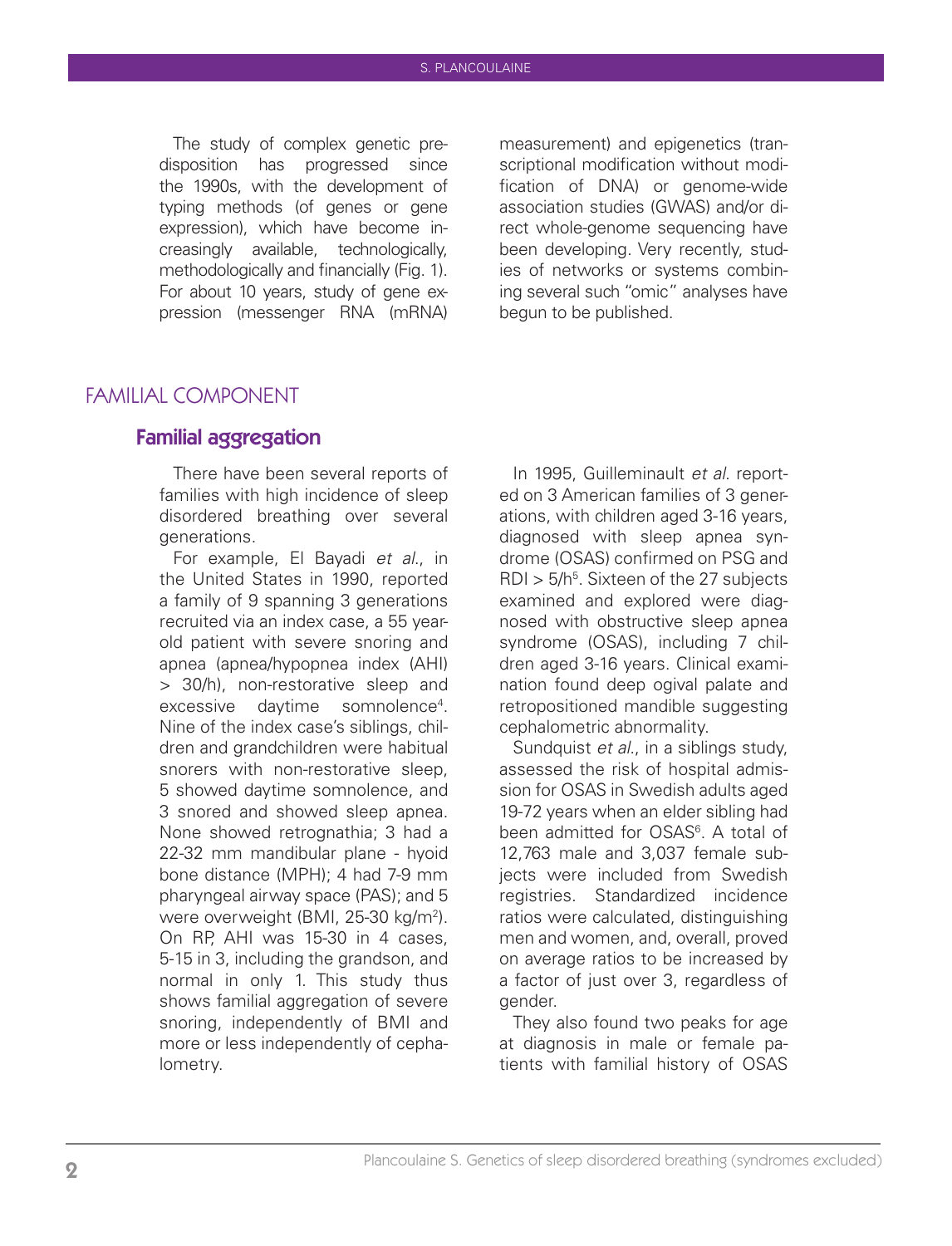The study of complex genetic predisposition has progressed since the 1990s, with the development of typing methods (of genes or gene expression), which have become increasingly available, technologically, methodologically and financially (Fig. 1). For about 10 years, study of gene expression (messenger RNA (mRNA)

measurement) and epigenetics (transcriptional modification without modification of DNA) or genome-wide association studies (GWAS) and/or direct whole-genome sequencing have been developing. Very recently, studies of networks or systems combining several such "omic" analyses have begun to be published.

# FAMILIAL COMPONENT

### Familial aggregation

There have been several reports of families with high incidence of sleep disordered breathing over several generations.

For example, El Bayadi *et al*., in the United States in 1990, reported a family of 9 spanning 3 generations recruited via an index case, a 55 yearold patient with severe snoring and apnea (apnea/hypopnea index (AHI) > 30/h), non-restorative sleep and excessive daytime somnolence<sup>4</sup>. Nine of the index case's siblings, children and grandchildren were habitual snorers with non-restorative sleep, 5 showed daytime somnolence, and 3 snored and showed sleep apnea. None showed retrognathia; 3 had a 22-32 mm mandibular plane - hyoid bone distance (MPH); 4 had 7-9 mm pharyngeal airway space (PAS); and 5 were overweight (BMI, 25-30 kg/m<sup>2</sup>). On RP, AHI was 15-30 in 4 cases, 5-15 in 3, including the grandson, and normal in only 1. This study thus shows familial aggregation of severe snoring, independently of BMI and more or less independently of cephalometry.

In 1995, Guilleminault *et al*. reported on 3 American families of 3 generations, with children aged 3-16 years, diagnosed with sleep apnea syndrome (OSAS) confirmed on PSG and  $RDI > 5/h<sup>5</sup>$ . Sixteen of the 27 subjects examined and explored were diagnosed with obstructive sleep apnea syndrome (OSAS), including 7 children aged 3-16 years. Clinical examination found deep ogival palate and retropositioned mandible suggesting cephalometric abnormality.

Sundquist *et al*., in a siblings study, assessed the risk of hospital admission for OSAS in Swedish adults aged 19-72 years when an elder sibling had been admitted for OSAS<sup>6</sup>. A total of 12,763 male and 3,037 female subjects were included from Swedish registries. Standardized incidence ratios were calculated, distinguishing men and women, and, overall, proved on average ratios to be increased by a factor of just over 3, regardless of gender.

They also found two peaks for age at diagnosis in male or female patients with familial history of OSAS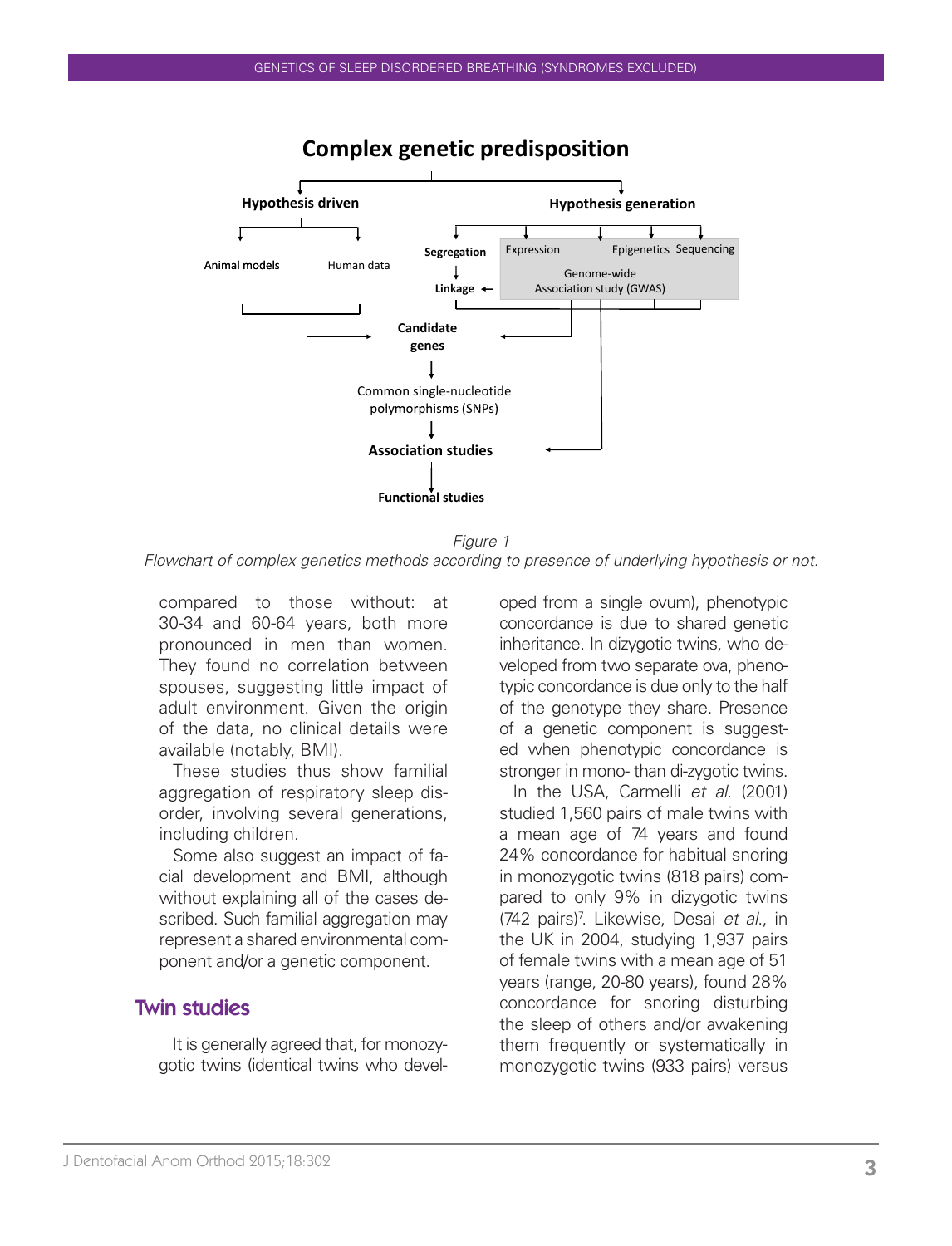

# **Complex genetic predisposition**

*Figure 1 Flowchart of complex genetics methods according to presence of underlying hypothesis or not.*

compared to those without: at 30-34 and 60-64 years, both more pronounced in men than women. They found no correlation between spouses, suggesting little impact of adult environment. Given the origin of the data, no clinical details were available (notably, BMI).

These studies thus show familial aggregation of respiratory sleep disorder, involving several generations, including children.

Some also suggest an impact of facial development and BMI, although without explaining all of the cases described. Such familial aggregation may represent a shared environmental component and/or a genetic component.

#### Twin studies

It is generally agreed that, for monozygotic twins (identical twins who devel-

oped from a single ovum), phenotypic concordance is due to shared genetic inheritance. In dizygotic twins, who developed from two separate ova, phenotypic concordance is due only to the half of the genotype they share. Presence of a genetic component is suggested when phenotypic concordance is stronger in mono- than di-zygotic twins.

In the USA, Carmelli *et al*. (2001) studied 1,560 pairs of male twins with a mean age of 74 years and found 24% concordance for habitual snoring in monozygotic twins (818 pairs) compared to only 9% in dizygotic twins (742 pairs)7 . Likewise, Desai *et al*., in the UK in 2004, studying 1,937 pairs of female twins with a mean age of 51 years (range, 20-80 years), found 28% concordance for snoring disturbing the sleep of others and/or awakening them frequently or systematically in monozygotic twins (933 pairs) versus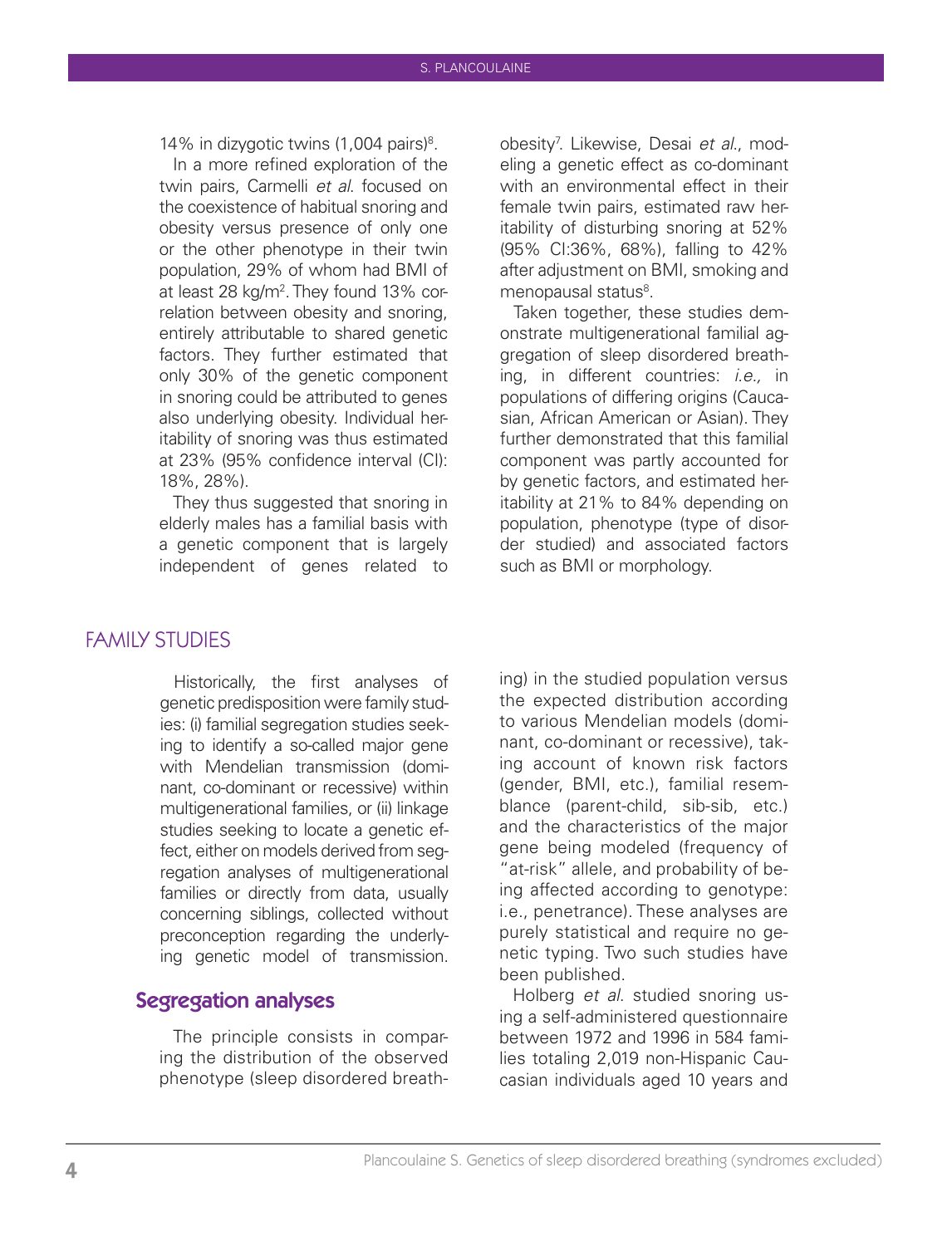14% in dizygotic twins  $(1,004 \text{ pairs})^8$ .

In a more refined exploration of the twin pairs, Carmelli *et al*. focused on the coexistence of habitual snoring and obesity versus presence of only one or the other phenotype in their twin population, 29% of whom had BMI of at least 28 kg/m2 . They found 13% correlation between obesity and snoring, entirely attributable to shared genetic factors. They further estimated that only 30% of the genetic component in snoring could be attributed to genes also underlying obesity. Individual heritability of snoring was thus estimated at 23% (95% confidence interval (CI): 18%, 28%).

They thus suggested that snoring in elderly males has a familial basis with a genetic component that is largely independent of genes related to

FAMILY STUDIES

Historically, the first analyses of genetic predisposition were family studies: (i) familial segregation studies seeking to identify a so-called major gene with Mendelian transmission (dominant, co-dominant or recessive) within multigenerational families, or (ii) linkage studies seeking to locate a genetic effect, either on models derived from segregation analyses of multigenerational families or directly from data, usually concerning siblings, collected without preconception regarding the underlying genetic model of transmission.

#### Segregation analyses

The principle consists in comparing the distribution of the observed phenotype (sleep disordered breath-

obesity7 . Likewise, Desai *et al*., modeling a genetic effect as co-dominant with an environmental effect in their female twin pairs, estimated raw heritability of disturbing snoring at 52% (95% CI:36%, 68%), falling to 42% after adjustment on BMI, smoking and menopausal status<sup>8</sup>.

Taken together, these studies demonstrate multigenerational familial aggregation of sleep disordered breathing, in different countries: *i.e.,* in populations of differing origins (Caucasian, African American or Asian). They further demonstrated that this familial component was partly accounted for by genetic factors, and estimated heritability at 21% to 84% depending on population, phenotype (type of disorder studied) and associated factors such as BMI or morphology.

ing) in the studied population versus the expected distribution according to various Mendelian models (dominant, co-dominant or recessive), taking account of known risk factors (gender, BMI, etc.), familial resemblance (parent-child, sib-sib, etc.) and the characteristics of the major gene being modeled (frequency of "at-risk" allele, and probability of being affected according to genotype: i.e., penetrance). These analyses are purely statistical and require no genetic typing. Two such studies have been published.

Holberg *et al*. studied snoring using a self-administered questionnaire between 1972 and 1996 in 584 families totaling 2,019 non-Hispanic Caucasian individuals aged 10 years and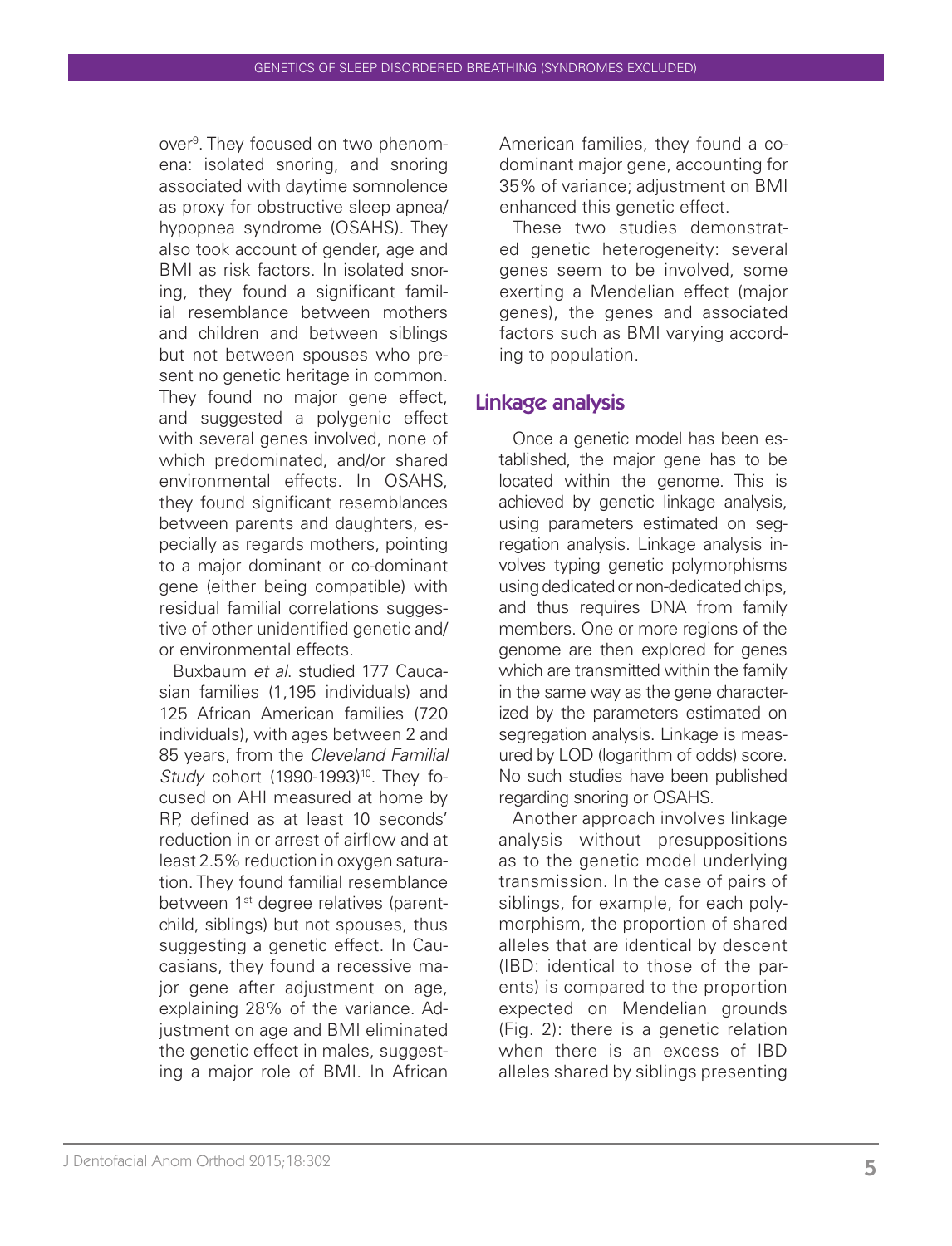over<sup>9</sup>. They focused on two phenomena: isolated snoring, and snoring associated with daytime somnolence as proxy for obstructive sleep apnea/ hypopnea syndrome (OSAHS). They also took account of gender, age and BMI as risk factors. In isolated snoring, they found a significant familial resemblance between mothers and children and between siblings but not between spouses who present no genetic heritage in common. They found no major gene effect, and suggested a polygenic effect with several genes involved, none of which predominated, and/or shared environmental effects. In OSAHS, they found significant resemblances between parents and daughters, especially as regards mothers, pointing to a major dominant or co-dominant gene (either being compatible) with residual familial correlations suggestive of other unidentified genetic and/ or environmental effects.

Buxbaum *et al*. studied 177 Caucasian families (1,195 individuals) and 125 African American families (720 individuals), with ages between 2 and 85 years, from the *Cleveland Familial Study* cohort (1990-1993)<sup>10</sup>. They focused on AHI measured at home by RP, defined as at least 10 seconds' reduction in or arrest of airflow and at least 2.5% reduction in oxygen saturation. They found familial resemblance between 1<sup>st</sup> degree relatives (parentchild, siblings) but not spouses, thus suggesting a genetic effect. In Caucasians, they found a recessive major gene after adjustment on age, explaining 28% of the variance. Adjustment on age and BMI eliminated the genetic effect in males, suggesting a major role of BMI. In African

American families, they found a codominant major gene, accounting for 35% of variance; adjustment on BMI enhanced this genetic effect.

These two studies demonstrated genetic heterogeneity: several genes seem to be involved, some exerting a Mendelian effect (major genes), the genes and associated factors such as BMI varying according to population.

### Linkage analysis

Once a genetic model has been established, the major gene has to be located within the genome. This is achieved by genetic linkage analysis, using parameters estimated on segregation analysis. Linkage analysis involves typing genetic polymorphisms using dedicated or non-dedicated chips, and thus requires DNA from family members. One or more regions of the genome are then explored for genes which are transmitted within the family in the same way as the gene characterized by the parameters estimated on segregation analysis. Linkage is measured by LOD (logarithm of odds) score. No such studies have been published regarding snoring or OSAHS.

Another approach involves linkage analysis without presuppositions as to the genetic model underlying transmission. In the case of pairs of siblings, for example, for each polymorphism, the proportion of shared alleles that are identical by descent (IBD: identical to those of the parents) is compared to the proportion expected on Mendelian grounds (Fig. 2): there is a genetic relation when there is an excess of IBD alleles shared by siblings presenting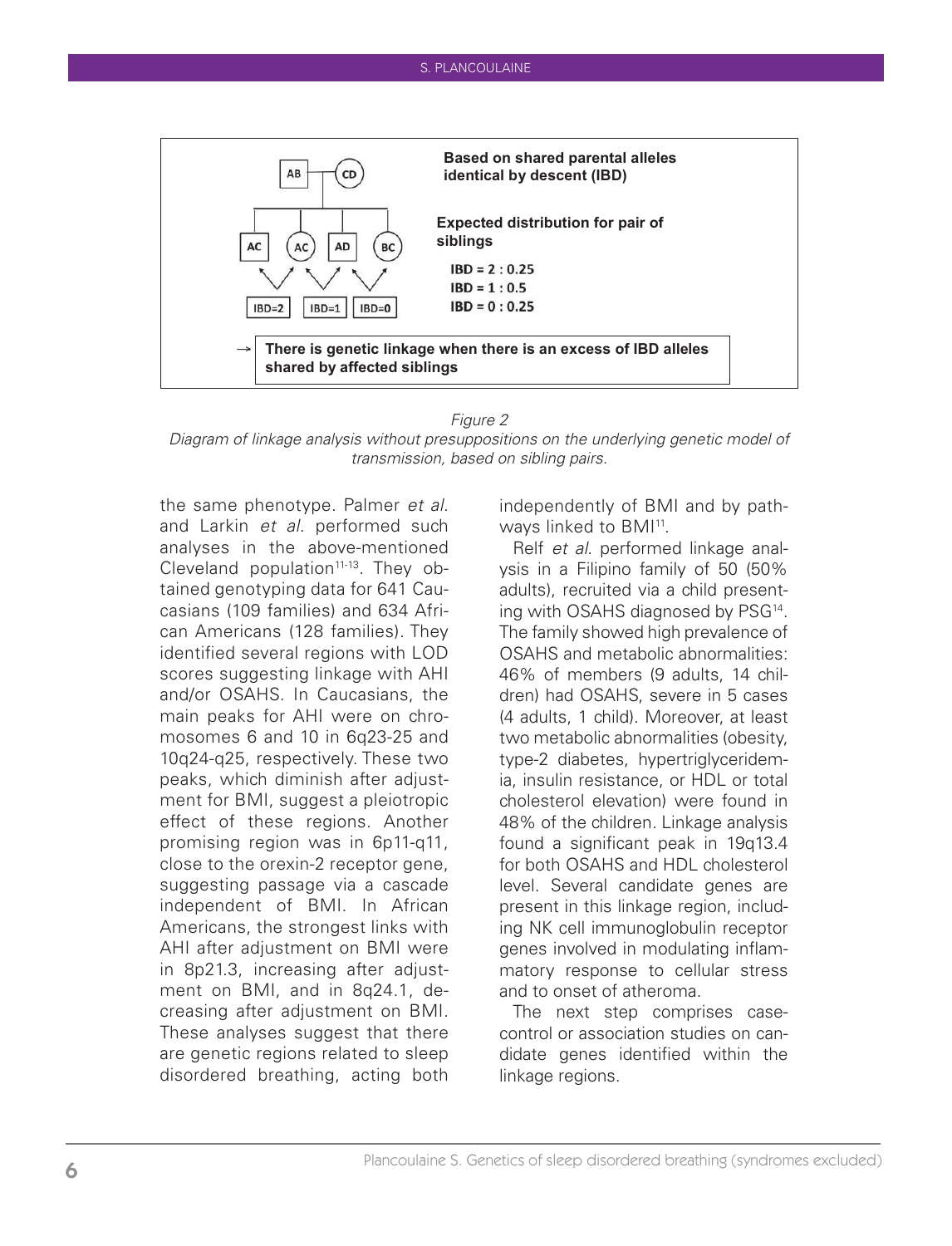

#### *Figure 2*

*Diagram of linkage analysis without presuppositions on the underlying genetic model of transmission, based on sibling pairs.*

the same phenotype. Palmer *et al*. and Larkin *et al*. performed such analyses in the above-mentioned Cleveland population<sup>11-13</sup>. They obtained genotyping data for 641 Caucasians (109 families) and 634 African Americans (128 families). They identified several regions with LOD scores suggesting linkage with AHI and/or OSAHS. In Caucasians, the main peaks for AHI were on chromosomes 6 and 10 in 6q23-25 and 10q24-q25, respectively. These two peaks, which diminish after adjustment for BMI, suggest a pleiotropic effect of these regions. Another promising region was in 6p11-q11, close to the orexin-2 receptor gene, suggesting passage via a cascade independent of BMI. In African Americans, the strongest links with AHI after adjustment on BMI were in 8p21.3, increasing after adjustment on BMI, and in 8q24.1, decreasing after adjustment on BMI. These analyses suggest that there are genetic regions related to sleep disordered breathing, acting both

independently of BMI and by pathways linked to BMI<sup>11</sup>.

Relf *et al*. performed linkage analysis in a Filipino family of 50 (50% adults), recruited via a child presenting with OSAHS diagnosed by PSG14. The family showed high prevalence of OSAHS and metabolic abnormalities: 46% of members (9 adults, 14 children) had OSAHS, severe in 5 cases (4 adults, 1 child). Moreover, at least two metabolic abnormalities (obesity, type-2 diabetes, hypertriglyceridemia, insulin resistance, or HDL or total cholesterol elevation) were found in 48% of the children. Linkage analysis found a significant peak in 19q13.4 for both OSAHS and HDL cholesterol level. Several candidate genes are present in this linkage region, including NK cell immunoglobulin receptor genes involved in modulating inflammatory response to cellular stress and to onset of atheroma.

The next step comprises casecontrol or association studies on candidate genes identified within the linkage regions.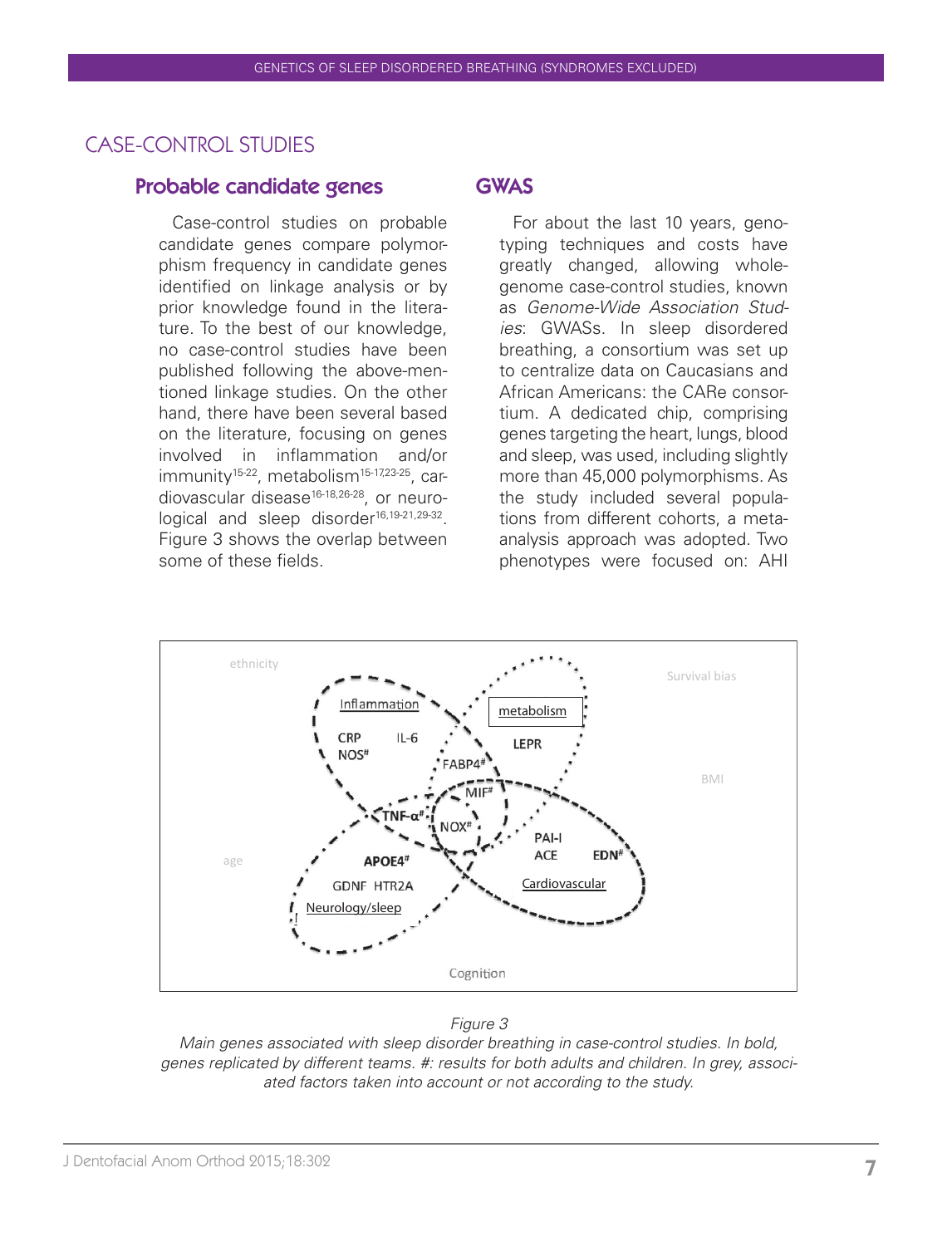# CASE-CONTROL STUDIES

#### Probable candidate genes GWAS

Case-control studies on probable candidate genes compare polymorphism frequency in candidate genes identified on linkage analysis or by prior knowledge found in the literature. To the best of our knowledge, no case-control studies have been published following the above-mentioned linkage studies. On the other hand, there have been several based on the literature, focusing on genes involved in inflammation and/or immunity<sup>15-22</sup>, metabolism<sup>15-17,23-25</sup>, cardiovascular disease<sup>16-18,26-28</sup>, or neurological and sleep disorder<sup>16,19-21,29-32</sup>. Figure 3 shows the overlap between some of these fields.

For about the last 10 years, genotyping techniques and costs have greatly changed, allowing wholegenome case-control studies, known as *Genome-Wide Association Studies*: GWASs. In sleep disordered breathing, a consortium was set up to centralize data on Caucasians and African Americans: the CARe consortium. A dedicated chip, comprising genes targeting the heart, lungs, blood and sleep, was used, including slightly more than 45,000 polymorphisms. As the study included several populations from different cohorts, a metaanalysis approach was adopted. Two phenotypes were focused on: AHI



#### *Figure 3*

*Main genes associated with sleep disorder breathing in case-control studies. In bold, genes replicated by different teams. #: results for both adults and children. In grey, associated factors taken into account or not according to the study.*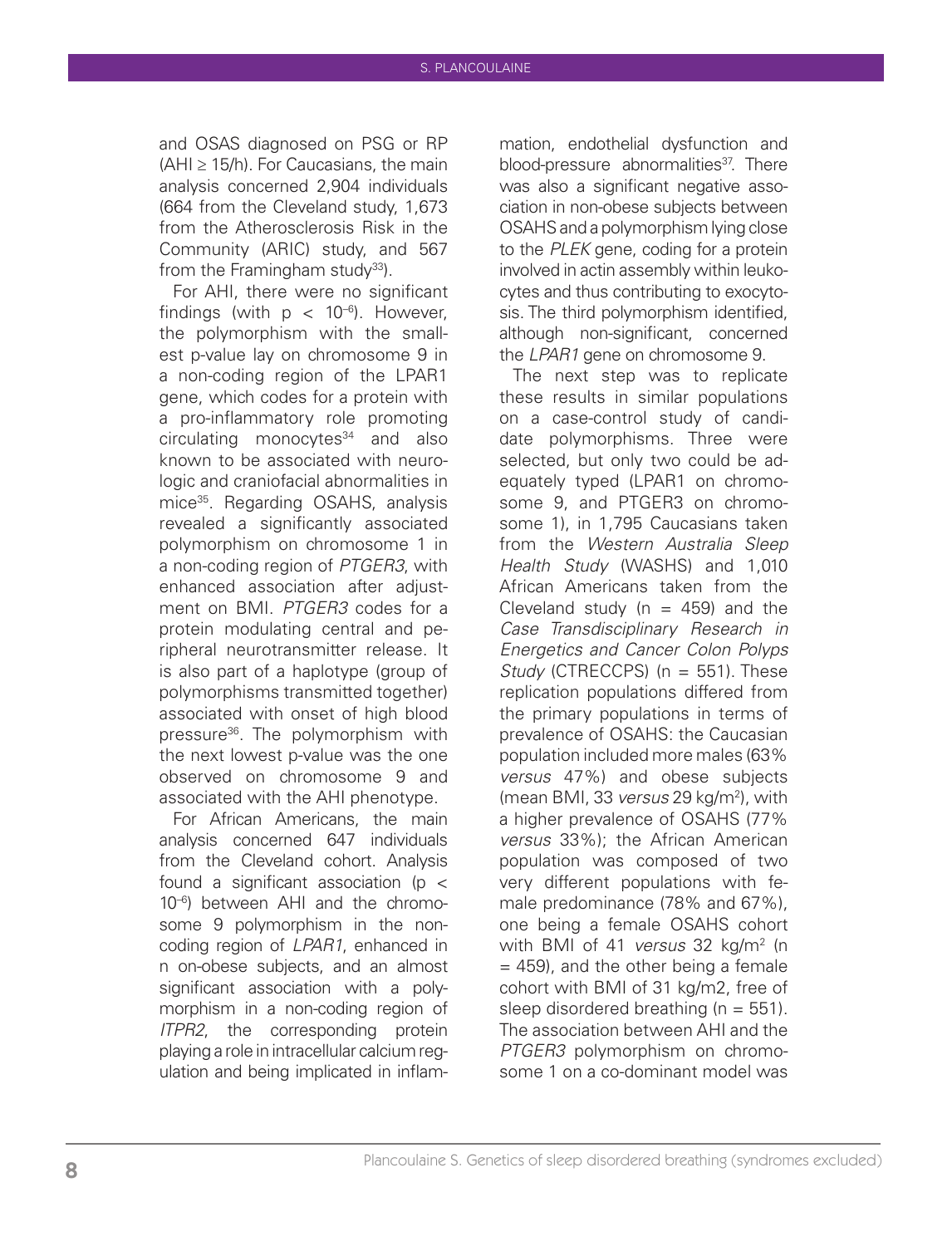and OSAS diagnosed on PSG or RP  $(AHI \geq 15/h)$ . For Caucasians, the main analysis concerned 2,904 individuals (664 from the Cleveland study, 1,673 from the Atherosclerosis Risk in the Community (ARIC) study, and 567 from the Framingham study $33$ ).

For AHI, there were no significant findings (with  $p < 10^{-6}$ ). However, the polymorphism with the smallest p-value lay on chromosome 9 in a non-coding region of the LPAR1 gene, which codes for a protein with a pro-inflammatory role promoting  $circulating$  monocytes $34$  and also known to be associated with neurologic and craniofacial abnormalities in mice35. Regarding OSAHS, analysis revealed a significantly associated polymorphism on chromosome 1 in a non-coding region of *PTGER3*, with enhanced association after adjustment on BMI. *PTGER3* codes for a protein modulating central and peripheral neurotransmitter release. It is also part of a haplotype (group of polymorphisms transmitted together) associated with onset of high blood pressure36. The polymorphism with the next lowest p-value was the one observed on chromosome 9 and associated with the AHI phenotype.

For African Americans, the main analysis concerned 647 individuals from the Cleveland cohort. Analysis found a significant association (p < 10–6) between AHI and the chromosome 9 polymorphism in the noncoding region of *LPAR1*, enhanced in n on-obese subjects, and an almost significant association with a polymorphism in a non-coding region of *ITPR2*, the corresponding protein playing a role in intracellular calcium regulation and being implicated in inflam-

mation, endothelial dysfunction and blood-pressure abnormalities<sup>37</sup>. There was also a significant negative association in non-obese subjects between OSAHS and a polymorphism lying close to the *PLEK* gene, coding for a protein involved in actin assembly within leukocytes and thus contributing to exocytosis. The third polymorphism identified, although non-significant, concerned the *LPAR1* gene on chromosome 9.

The next step was to replicate these results in similar populations on a case-control study of candidate polymorphisms. Three were selected, but only two could be adequately typed (LPAR1 on chromosome 9, and PTGER3 on chromosome 1), in 1,795 Caucasians taken from the *Western Australia Sleep Health Study* (WASHS) and 1,010 African Americans taken from the Cleveland study ( $n = 459$ ) and the *Case Transdisciplinary Research in Energetics and Cancer Colon Polyps Study* (CTRECCPS) (n = 551). These replication populations differed from the primary populations in terms of prevalence of OSAHS: the Caucasian population included more males (63% *versus* 47%) and obese subjects (mean BMI, 33 *versus* 29 kg/m2 ), with a higher prevalence of OSAHS (77% *versus* 33%); the African American population was composed of two very different populations with female predominance (78% and 67%), one being a female OSAHS cohort with BMI of 41 *versus* 32 kg/m2 (n  $= 459$ ), and the other being a female cohort with BMI of 31 kg/m2, free of sleep disordered breathing  $(n = 551)$ . The association between AHI and the *PTGER3* polymorphism on chromosome 1 on a co-dominant model was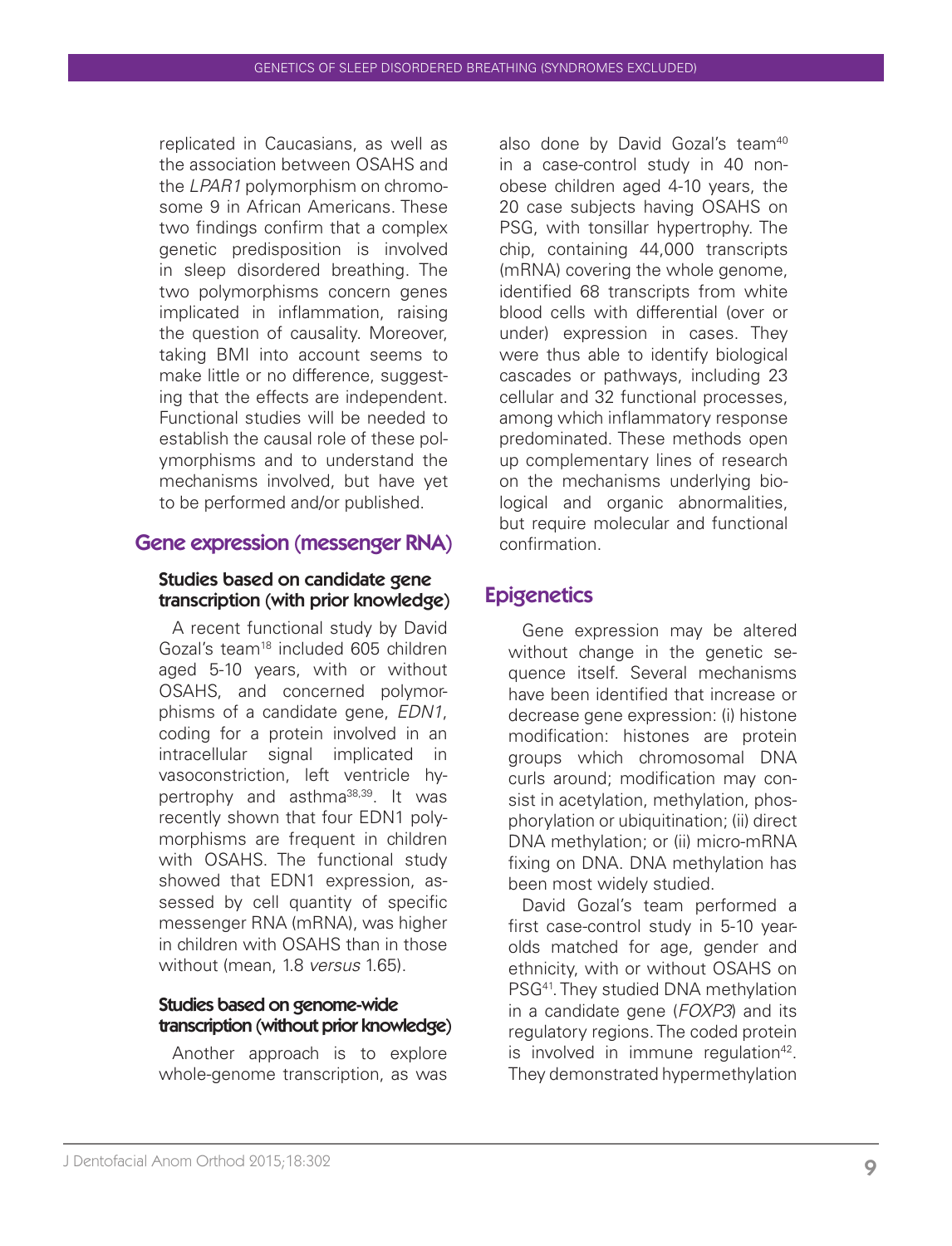replicated in Caucasians, as well as the association between OSAHS and the *LPAR1* polymorphism on chromosome 9 in African Americans. These two findings confirm that a complex genetic predisposition is involved in sleep disordered breathing. The two polymorphisms concern genes implicated in inflammation, raising the question of causality. Moreover, taking BMI into account seems to make little or no difference, suggesting that the effects are independent. Functional studies will be needed to establish the causal role of these polymorphisms and to understand the mechanisms involved, but have yet to be performed and/or published.

#### Gene expression (messenger RNA)

#### Studies based on candidate gene transcription (with prior knowledge)

A recent functional study by David Gozal's team<sup>18</sup> included 605 children aged 5-10 years, with or without OSAHS, and concerned polymorphisms of a candidate gene, *EDN1*, coding for a protein involved in an intracellular signal implicated in vasoconstriction, left ventricle hypertrophy and asthma38,39. It was recently shown that four EDN1 polymorphisms are frequent in children with OSAHS. The functional study showed that EDN1 expression, assessed by cell quantity of specific messenger RNA (mRNA), was higher in children with OSAHS than in those without (mean, 1.8 *versus* 1.65).

#### Studies based on genome-wide transcription (without prior knowledge)

Another approach is to explore whole-genome transcription, as was

also done by David Gozal's team<sup>40</sup> in a case-control study in 40 nonobese children aged 4-10 years, the 20 case subjects having OSAHS on PSG, with tonsillar hypertrophy. The chip, containing 44,000 transcripts (mRNA) covering the whole genome, identified 68 transcripts from white blood cells with differential (over or under) expression in cases. They were thus able to identify biological cascades or pathways, including 23 cellular and 32 functional processes, among which inflammatory response predominated. These methods open up complementary lines of research on the mechanisms underlying biological and organic abnormalities, but require molecular and functional confirmation.

# **Epigenetics**

Gene expression may be altered without change in the genetic sequence itself. Several mechanisms have been identified that increase or decrease gene expression: (i) histone modification: histones are protein groups which chromosomal DNA curls around; modification may consist in acetylation, methylation, phosphorylation or ubiquitination; (ii) direct DNA methylation; or (ii) micro-mRNA fixing on DNA. DNA methylation has been most widely studied.

David Gozal's team performed a first case-control study in 5-10 yearolds matched for age, gender and ethnicity, with or without OSAHS on PSG<sup>41</sup>. They studied DNA methylation in a candidate gene (*FOXP3*) and its regulatory regions. The coded protein is involved in immune regulation $42$ . They demonstrated hypermethylation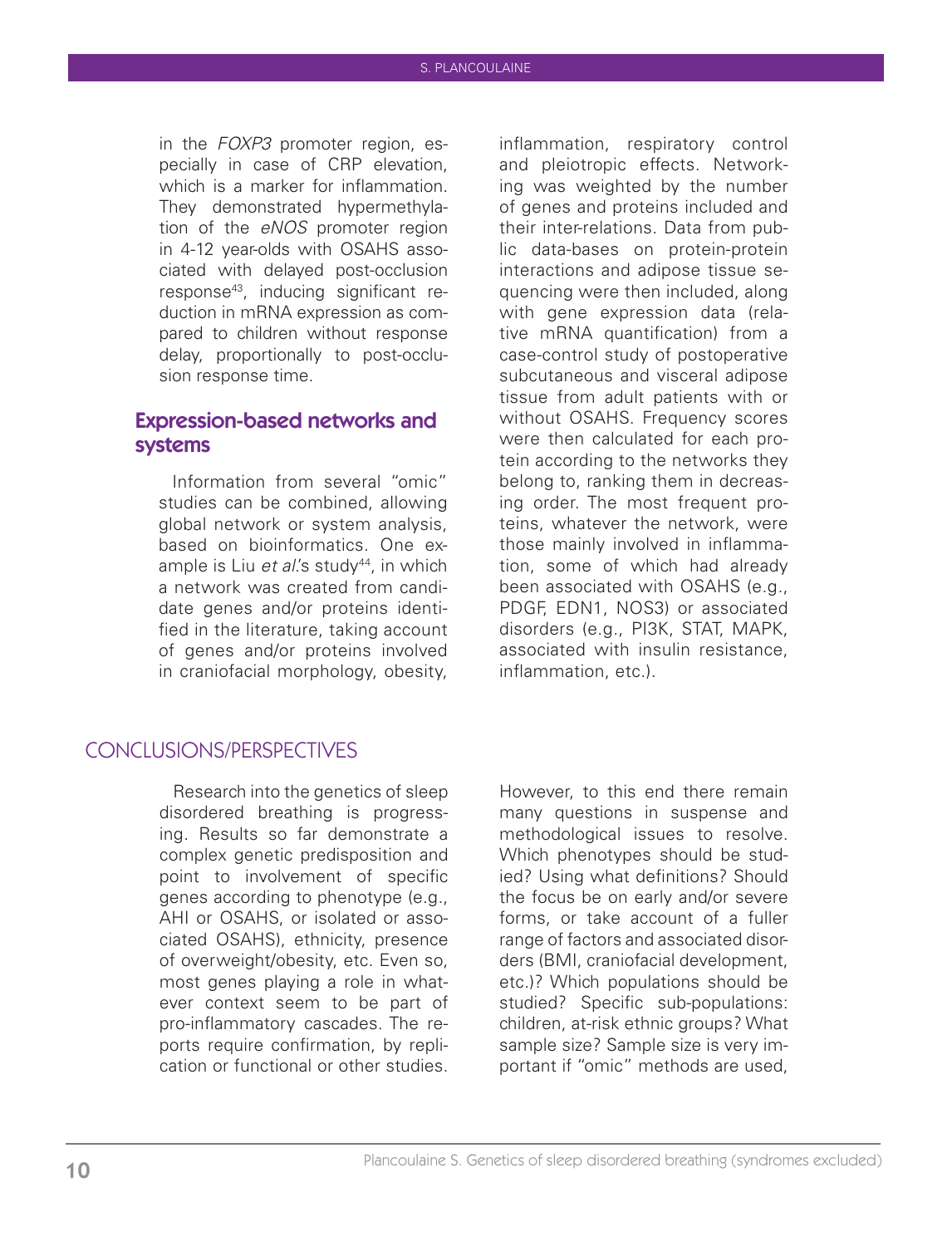in the *FOXP3* promoter region, especially in case of CRP elevation, which is a marker for inflammation. They demonstrated hypermethylation of the *eNOS* promoter region in 4-12 year-olds with OSAHS associated with delayed post-occlusion response43, inducing significant reduction in mRNA expression as compared to children without response delay, proportionally to post-occlusion response time.

#### Expression-based networks and systems

Information from several "omic" studies can be combined, allowing global network or system analysis, based on bioinformatics. One example is Liu *et al's* study<sup>44</sup>, in which a network was created from candidate genes and/or proteins identified in the literature, taking account of genes and/or proteins involved in craniofacial morphology, obesity,

inflammation, respiratory control and pleiotropic effects. Networking was weighted by the number of genes and proteins included and their inter-relations. Data from public data-bases on protein-protein interactions and adipose tissue sequencing were then included, along with gene expression data (relative mRNA quantification) from a case-control study of postoperative subcutaneous and visceral adipose tissue from adult patients with or without OSAHS. Frequency scores were then calculated for each protein according to the networks they belong to, ranking them in decreasing order. The most frequent proteins, whatever the network, were those mainly involved in inflammation, some of which had already been associated with OSAHS (e.g., PDGF, EDN1, NOS3) or associated disorders (e.g., PI3K, STAT, MAPK, associated with insulin resistance, inflammation, etc.).

# CONCLUSIONS/PERSPECTIVES

Research into the genetics of sleep disordered breathing is progressing. Results so far demonstrate a complex genetic predisposition and point to involvement of specific genes according to phenotype (e.g., AHI or OSAHS, or isolated or associated OSAHS), ethnicity, presence of overweight/obesity, etc. Even so, most genes playing a role in whatever context seem to be part of pro-inflammatory cascades. The reports require confirmation, by replication or functional or other studies.

However, to this end there remain many questions in suspense and methodological issues to resolve. Which phenotypes should be studied? Using what definitions? Should the focus be on early and/or severe forms, or take account of a fuller range of factors and associated disorders (BMI, craniofacial development, etc.)? Which populations should be studied? Specific sub-populations: children, at-risk ethnic groups? What sample size? Sample size is very important if "omic" methods are used,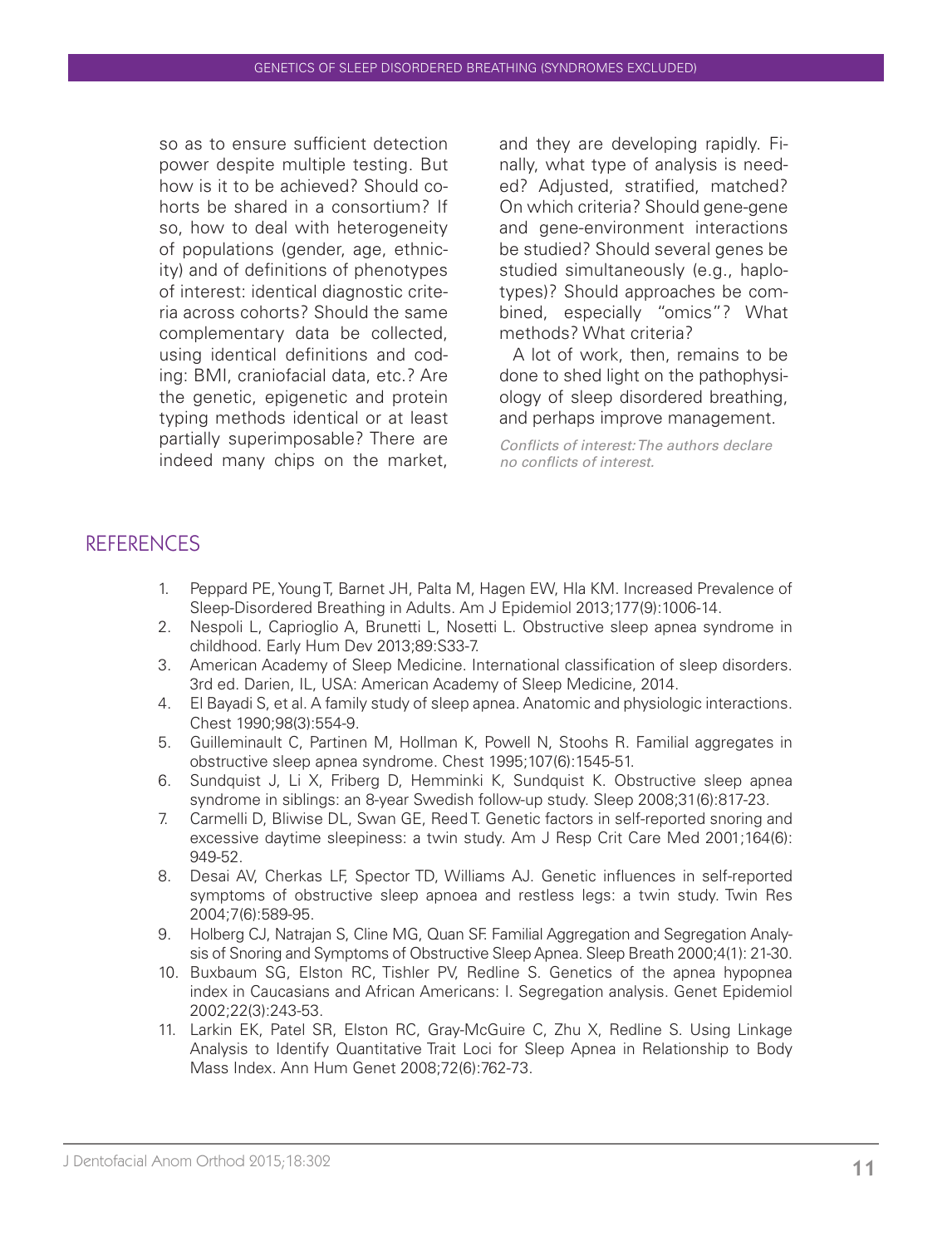so as to ensure sufficient detection power despite multiple testing. But how is it to be achieved? Should cohorts be shared in a consortium? If so, how to deal with heterogeneity of populations (gender, age, ethnicity) and of definitions of phenotypes of interest: identical diagnostic criteria across cohorts? Should the same complementary data be collected, using identical definitions and coding: BMI, craniofacial data, etc.? Are the genetic, epigenetic and protein typing methods identical or at least partially superimposable? There are indeed many chips on the market, and they are developing rapidly. Finally, what type of analysis is needed? Adjusted, stratified, matched? On which criteria? Should gene-gene and gene-environment interactions be studied? Should several genes be studied simultaneously (e.g., haplotypes)? Should approaches be combined, especially "omics"? What methods? What criteria?

A lot of work, then, remains to be done to shed light on the pathophysiology of sleep disordered breathing, and perhaps improve management.

*Conflicts of interest: The authors declare no conflicts of interest.*

# REFERENCES

- 1. Peppard PE, Young T, Barnet JH, Palta M, Hagen EW, Hla KM. Increased Prevalence of Sleep-Disordered Breathing in Adults. Am J Epidemiol 2013;177(9):1006-14.
- 2. Nespoli L, Caprioglio A, Brunetti L, Nosetti L. Obstructive sleep apnea syndrome in childhood. Early Hum Dev 2013;89:S33-7.
- 3. American Academy of Sleep Medicine. International classification of sleep disorders. 3rd ed. Darien, IL, USA: American Academy of Sleep Medicine, 2014.
- 4. El Bayadi S, et al. A family study of sleep apnea. Anatomic and physiologic interactions. Chest 1990;98(3):554-9.
- 5. Guilleminault C, Partinen M, Hollman K, Powell N, Stoohs R. Familial aggregates in obstructive sleep apnea syndrome. Chest 1995;107(6):1545-51.
- 6. Sundquist J, Li X, Friberg D, Hemminki K, Sundquist K. Obstructive sleep apnea syndrome in siblings: an 8-year Swedish follow-up study. Sleep 2008;31(6):817-23.
- 7. Carmelli D, Bliwise DL, Swan GE, Reed T. Genetic factors in self-reported snoring and excessive daytime sleepiness: a twin study. Am J Resp Crit Care Med 2001;164(6): 949-52.
- 8. Desai AV, Cherkas LF, Spector TD, Williams AJ. Genetic influences in self-reported symptoms of obstructive sleep apnoea and restless legs: a twin study. Twin Res 2004;7(6):589-95.
- 9. Holberg CJ, Natrajan S, Cline MG, Quan SF. Familial Aggregation and Segregation Analysis of Snoring and Symptoms of Obstructive Sleep Apnea. Sleep Breath 2000;4(1): 21-30.
- 10. Buxbaum SG, Elston RC, Tishler PV, Redline S. Genetics of the apnea hypopnea index in Caucasians and African Americans: I. Segregation analysis. Genet Epidemiol 2002;22(3):243-53.
- 11. Larkin EK, Patel SR, Elston RC, Gray-McGuire C, Zhu X, Redline S. Using Linkage Analysis to Identify Quantitative Trait Loci for Sleep Apnea in Relationship to Body Mass Index. Ann Hum Genet 2008;72(6):762-73.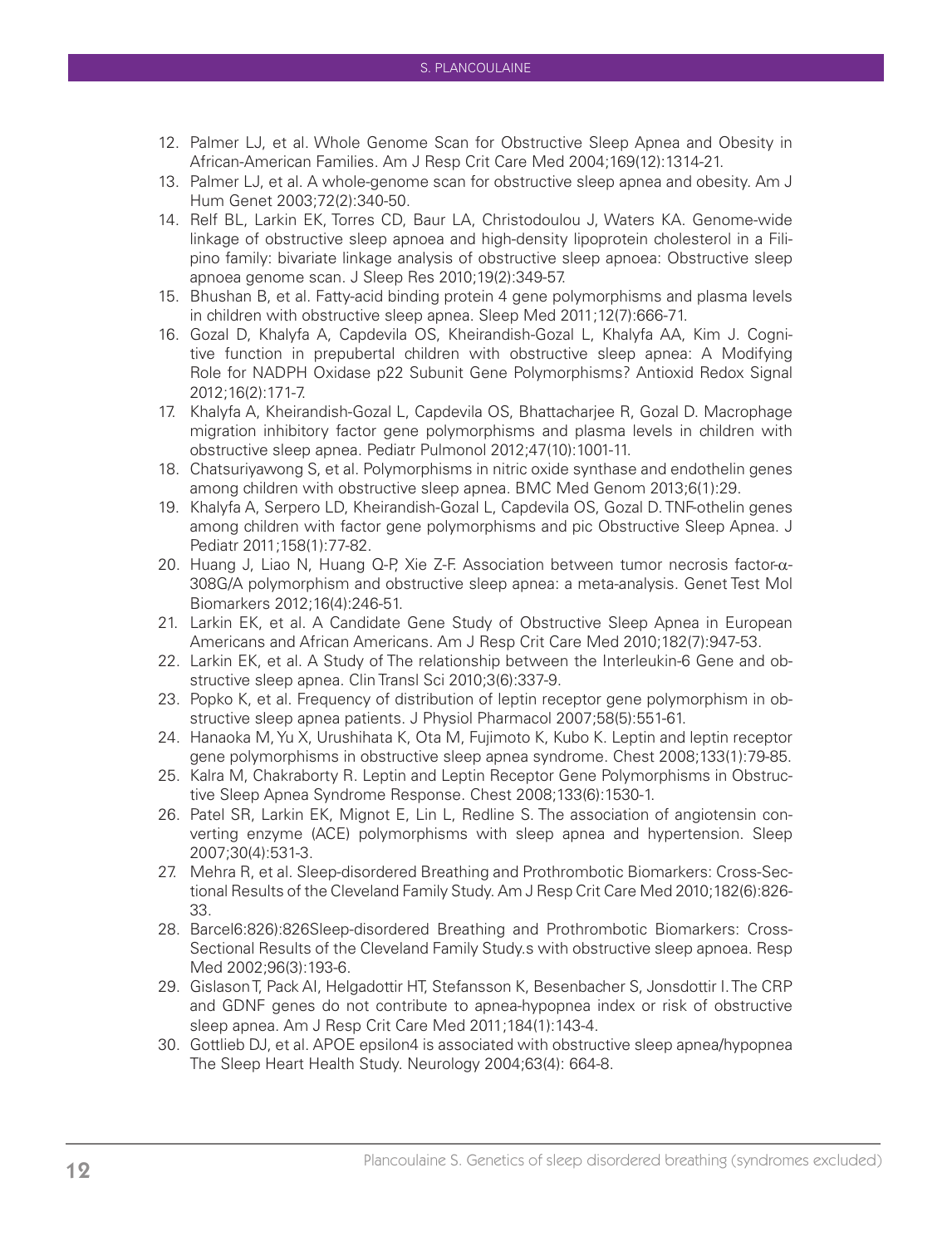- 12. Palmer LJ, et al. Whole Genome Scan for Obstructive Sleep Apnea and Obesity in African-American Families. Am J Resp Crit Care Med 2004;169(12):1314-21.
- 13. Palmer LJ, et al. A whole-genome scan for obstructive sleep apnea and obesity. Am J Hum Genet 2003;72(2):340-50.
- 14. Relf BL, Larkin EK, Torres CD, Baur LA, Christodoulou J, Waters KA. Genome-wide linkage of obstructive sleep apnoea and high-density lipoprotein cholesterol in a Filipino family: bivariate linkage analysis of obstructive sleep apnoea: Obstructive sleep apnoea genome scan. J Sleep Res 2010;19(2):349-57.
- 15. Bhushan B, et al. Fatty-acid binding protein 4 gene polymorphisms and plasma levels in children with obstructive sleep apnea. Sleep Med 2011;12(7):666-71.
- 16. Gozal D, Khalyfa A, Capdevila OS, Kheirandish-Gozal L, Khalyfa AA, Kim J. Cognitive function in prepubertal children with obstructive sleep apnea: A Modifying Role for NADPH Oxidase p22 Subunit Gene Polymorphisms? Antioxid Redox Signal 2012;16(2):171-7.
- 17. Khalyfa A, Kheirandish-Gozal L, Capdevila OS, Bhattacharjee R, Gozal D. Macrophage migration inhibitory factor gene polymorphisms and plasma levels in children with obstructive sleep apnea. Pediatr Pulmonol 2012;47(10):1001-11.
- 18. Chatsuriyawong S, et al. Polymorphisms in nitric oxide synthase and endothelin genes among children with obstructive sleep apnea. BMC Med Genom 2013;6(1):29.
- 19. Khalyfa A, Serpero LD, Kheirandish-Gozal L, Capdevila OS, Gozal D. TNF-othelin genes among children with factor gene polymorphisms and pic Obstructive Sleep Apnea. J Pediatr 2011;158(1):77-82.
- 20. Huang J, Liao N, Huang Q-P, Xie Z-F. Association between tumor necrosis factor-α-308G/A polymorphism and obstructive sleep apnea: a meta-analysis. Genet Test Mol Biomarkers 2012;16(4):246-51.
- 21. Larkin EK, et al. A Candidate Gene Study of Obstructive Sleep Apnea in European Americans and African Americans. Am J Resp Crit Care Med 2010;182(7):947-53.
- 22. Larkin EK, et al. A Study of The relationship between the Interleukin-6 Gene and obstructive sleep apnea. Clin Transl Sci 2010;3(6):337-9.
- 23. Popko K, et al. Frequency of distribution of leptin receptor gene polymorphism in obstructive sleep apnea patients. J Physiol Pharmacol 2007;58(5):551-61.
- 24. Hanaoka M, Yu X, Urushihata K, Ota M, Fujimoto K, Kubo K. Leptin and leptin receptor gene polymorphisms in obstructive sleep apnea syndrome. Chest 2008;133(1):79-85.
- 25. Kalra M, Chakraborty R. Leptin and Leptin Receptor Gene Polymorphisms in Obstructive Sleep Apnea Syndrome Response. Chest 2008;133(6):1530-1.
- 26. Patel SR, Larkin EK, Mignot E, Lin L, Redline S. The association of angiotensin converting enzyme (ACE) polymorphisms with sleep apnea and hypertension. Sleep 2007;30(4):531-3.
- 27. Mehra R, et al. Sleep-disordered Breathing and Prothrombotic Biomarkers: Cross-Sectional Results of the Cleveland Family Study. Am J Resp Crit Care Med 2010;182(6):826- 33.
- 28. Barcel6:826):826Sleep-disordered Breathing and Prothrombotic Biomarkers: Cross-Sectional Results of the Cleveland Family Study.s with obstructive sleep apnoea. Resp Med 2002;96(3):193-6.
- 29. Gislason T, Pack AI, Helgadottir HT, Stefansson K, Besenbacher S, Jonsdottir I. The CRP and GDNF genes do not contribute to apnea-hypopnea index or risk of obstructive sleep apnea. Am J Resp Crit Care Med 2011;184(1):143-4.
- 30. Gottlieb DJ, et al. APOE epsilon4 is associated with obstructive sleep apnea/hypopnea The Sleep Heart Health Study. Neurology 2004;63(4): 664-8.